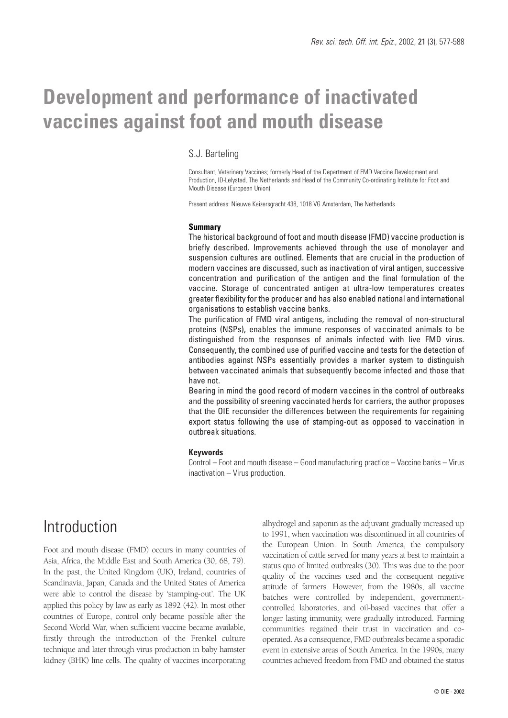# **Development and performance of inactivated vaccines against foot and mouth disease**

## S.J. Barteling

Consultant, Veterinary Vaccines; formerly Head of the Department of FMD Vaccine Development and Production, ID-Lelystad, The Netherlands and Head of the Community Co-ordinating Institute for Foot and Mouth Disease (European Union)

Present address: Nieuwe Keizersgracht 438, 1018 VG Amsterdam, The Netherlands

#### **Summary**

The historical background of foot and mouth disease (FMD) vaccine production is briefly described. Improvements achieved through the use of monolayer and suspension cultures are outlined. Elements that are crucial in the production of modern vaccines are discussed, such as inactivation of viral antigen, successive concentration and purification of the antigen and the final formulation of the vaccine. Storage of concentrated antigen at ultra-low temperatures creates greater flexibility for the producer and has also enabled national and international organisations to establish vaccine banks.

The purification of FMD viral antigens, including the removal of non-structural proteins (NSPs), enables the immune responses of vaccinated animals to be distinguished from the responses of animals infected with live FMD virus. Consequently, the combined use of purified vaccine and tests for the detection of antibodies against NSPs essentially provides a marker system to distinguish between vaccinated animals that subsequently become infected and those that have not.

Bearing in mind the good record of modern vaccines in the control of outbreaks and the possibility of sreening vaccinated herds for carriers, the author proposes that the OIE reconsider the differences between the requirements for regaining export status following the use of stamping-out as opposed to vaccination in outbreak situations.

#### **Keywords**

Control – Foot and mouth disease – Good manufacturing practice – Vaccine banks – Virus inactivation – Virus production.

## Introduction

Foot and mouth disease (FMD) occurs in many countries of Asia, Africa, the Middle East and South America (30, 68, 79). In the past, the United Kingdom (UK), Ireland, countries of Scandinavia, Japan, Canada and the United States of America were able to control the disease by 'stamping-out'. The UK applied this policy by law as early as 1892 (42). In most other countries of Europe, control only became possible after the Second World War, when sufficient vaccine became available, firstly through the introduction of the Frenkel culture technique and later through virus production in baby hamster kidney (BHK) line cells. The quality of vaccines incorporating alhydrogel and saponin as the adjuvant gradually increased up to 1991, when vaccination was discontinued in all countries of the European Union. In South America, the compulsory vaccination of cattle served for many years at best to maintain a status quo of limited outbreaks (30). This was due to the poor quality of the vaccines used and the consequent negative attitude of farmers. However, from the 1980s, all vaccine batches were controlled by independent, governmentcontrolled laboratories, and oil-based vaccines that offer a longer lasting immunity, were gradually introduced. Farming communities regained their trust in vaccination and cooperated. As a consequence, FMD outbreaks became a sporadic event in extensive areas of South America. In the 1990s, many countries achieved freedom from FMD and obtained the status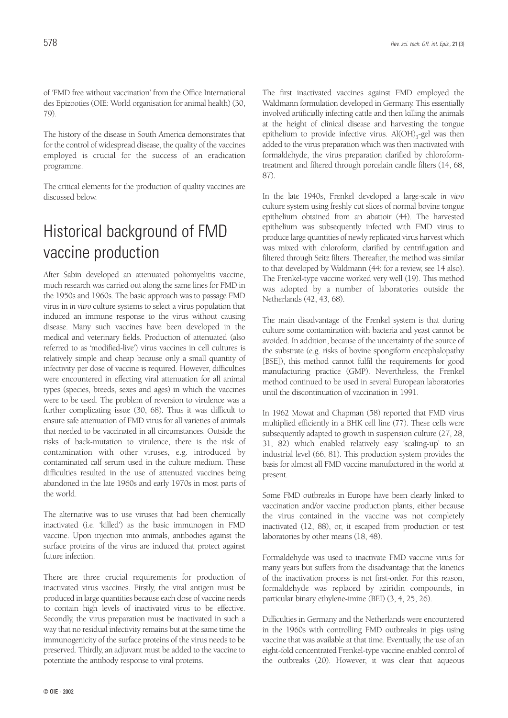of 'FMD free without vaccination' from the Office International des Epizooties (OIE: World organisation for animal health) (30, 79).

The history of the disease in South America demonstrates that for the control of widespread disease, the quality of the vaccines employed is crucial for the success of an eradication programme.

The critical elements for the production of quality vaccines are discussed below.

# Historical background of FMD vaccine production

After Sabin developed an attenuated poliomyelitis vaccine, much research was carried out along the same lines for FMD in the 1950s and 1960s. The basic approach was to passage FMD virus in *in vitro* culture systems to select a virus population that induced an immune response to the virus without causing disease. Many such vaccines have been developed in the medical and veterinary fields. Production of attenuated (also referred to as 'modified-live') virus vaccines in cell cultures is relatively simple and cheap because only a small quantity of infectivity per dose of vaccine is required. However, difficulties were encountered in effecting viral attenuation for all animal types (species, breeds, sexes and ages) in which the vaccines were to be used. The problem of reversion to virulence was a further complicating issue (30, 68). Thus it was difficult to ensure safe attenuation of FMD virus for all varieties of animals that needed to be vaccinated in all circumstances. Outside the risks of back-mutation to virulence, there is the risk of contamination with other viruses, e.g. introduced by contaminated calf serum used in the culture medium. These difficulties resulted in the use of attenuated vaccines being abandoned in the late 1960s and early 1970s in most parts of the world.

The alternative was to use viruses that had been chemically inactivated (i.e. 'killed') as the basic immunogen in FMD vaccine. Upon injection into animals, antibodies against the surface proteins of the virus are induced that protect against future infection.

There are three crucial requirements for production of inactivated virus vaccines. Firstly, the viral antigen must be produced in large quantities because each dose of vaccine needs to contain high levels of inactivated virus to be effective. Secondly, the virus preparation must be inactivated in such a way that no residual infectivity remains but at the same time the immunogenicity of the surface proteins of the virus needs to be preserved. Thirdly, an adjuvant must be added to the vaccine to potentiate the antibody response to viral proteins.

The first inactivated vaccines against FMD employed the Waldmann formulation developed in Germany. This essentially involved artificially infecting cattle and then killing the animals at the height of clinical disease and harvesting the tongue epithelium to provide infective virus.  $Al(OH)_{3}$ -gel was then added to the virus preparation which was then inactivated with formaldehyde, the virus preparation clarified by chloroformtreatment and filtered through porcelain candle filters (14, 68, 87).

In the late 1940s, Frenkel developed a large-scale *in vitro* culture system using freshly cut slices of normal bovine tongue epithelium obtained from an abattoir (44). The harvested epithelium was subsequently infected with FMD virus to produce large quantities of newly replicated virus harvest which was mixed with chloroform, clarified by centrifugation and filtered through Seitz filters. Thereafter, the method was similar to that developed by Waldmann (44; for a review, see 14 also). The Frenkel-type vaccine worked very well (19). This method was adopted by a number of laboratories outside the Netherlands (42, 43, 68).

The main disadvantage of the Frenkel system is that during culture some contamination with bacteria and yeast cannot be avoided. In addition, because of the uncertainty of the source of the substrate (e.g. risks of bovine spongiform encephalopathy [BSE]), this method cannot fulfil the requirements for good manufacturing practice (GMP). Nevertheless, the Frenkel method continued to be used in several European laboratories until the discontinuation of vaccination in 1991.

In 1962 Mowat and Chapman (58) reported that FMD virus multiplied efficiently in a BHK cell line (77). These cells were subsequently adapted to growth in suspension culture (27, 28, 31, 82) which enabled relatively easy 'scaling-up' to an industrial level (66, 81). This production system provides the basis for almost all FMD vaccine manufactured in the world at present.

Some FMD outbreaks in Europe have been clearly linked to vaccination and/or vaccine production plants, either because the virus contained in the vaccine was not completely inactivated (12, 88), or, it escaped from production or test laboratories by other means (18, 48).

Formaldehyde was used to inactivate FMD vaccine virus for many years but suffers from the disadvantage that the kinetics of the inactivation process is not first-order. For this reason, formaldehyde was replaced by aziridin compounds, in particular binary ethylene-imine (BEI) (3, 4, 25, 26).

Difficulties in Germany and the Netherlands were encountered in the 1960s with controlling FMD outbreaks in pigs using vaccine that was available at that time. Eventually, the use of an eight-fold concentrated Frenkel-type vaccine enabled control of the outbreaks (20). However, it was clear that aqueous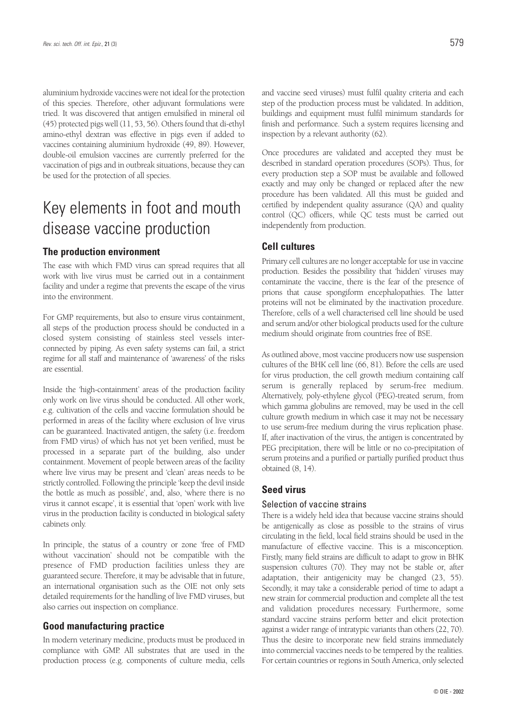aluminium hydroxide vaccines were not ideal for the protection of this species. Therefore, other adjuvant formulations were tried. It was discovered that antigen emulsified in mineral oil (45) protected pigs well (11, 53, 56). Others found that di-ethyl amino-ethyl dextran was effective in pigs even if added to vaccines containing aluminium hydroxide (49, 89). However, double-oil emulsion vaccines are currently preferred for the vaccination of pigs and in outbreak situations, because they can be used for the protection of all species.

## Key elements in foot and mouth disease vaccine production

### **The production environment**

The ease with which FMD virus can spread requires that all work with live virus must be carried out in a containment facility and under a regime that prevents the escape of the virus into the environment.

For GMP requirements, but also to ensure virus containment, all steps of the production process should be conducted in a closed system consisting of stainless steel vessels interconnected by piping. As even safety systems can fail, a strict regime for all staff and maintenance of 'awareness' of the risks are essential.

Inside the 'high-containment' areas of the production facility only work on live virus should be conducted. All other work, e.g. cultivation of the cells and vaccine formulation should be performed in areas of the facility where exclusion of live virus can be guaranteed. Inactivated antigen, the safety (i.e. freedom from FMD virus) of which has not yet been verified, must be processed in a separate part of the building, also under containment. Movement of people between areas of the facility where live virus may be present and 'clean' areas needs to be strictly controlled. Following the principle 'keep the devil inside the bottle as much as possible', and, also, 'where there is no virus it cannot escape', it is essential that 'open' work with live virus in the production facility is conducted in biological safety cabinets only.

In principle, the status of a country or zone 'free of FMD without vaccination' should not be compatible with the presence of FMD production facilities unless they are guaranteed secure. Therefore, it may be advisable that in future, an international organisation such as the OIE not only sets detailed requirements for the handling of live FMD viruses, but also carries out inspection on compliance.

#### **Good manufacturing practice**

In modern veterinary medicine, products must be produced in compliance with GMP. All substrates that are used in the production process (e.g. components of culture media, cells and vaccine seed viruses) must fulfil quality criteria and each step of the production process must be validated. In addition, buildings and equipment must fulfil minimum standards for finish and performance. Such a system requires licensing and inspection by a relevant authority (62).

Once procedures are validated and accepted they must be described in standard operation procedures (SOPs). Thus, for every production step a SOP must be available and followed exactly and may only be changed or replaced after the new procedure has been validated. All this must be guided and certified by independent quality assurance (QA) and quality control (QC) officers, while QC tests must be carried out independently from production.

### **Cell cultures**

Primary cell cultures are no longer acceptable for use in vaccine production. Besides the possibility that 'hidden' viruses may contaminate the vaccine, there is the fear of the presence of prions that cause spongiform encephalopathies. The latter proteins will not be eliminated by the inactivation procedure. Therefore, cells of a well characterised cell line should be used and serum and/or other biological products used for the culture medium should originate from countries free of BSE.

As outlined above, most vaccine producers now use suspension cultures of the BHK cell line (66, 81). Before the cells are used for virus production, the cell growth medium containing calf serum is generally replaced by serum-free medium. Alternatively, poly-ethylene glycol (PEG)-treated serum, from which gamma globulins are removed, may be used in the cell culture growth medium in which case it may not be necessary to use serum-free medium during the virus replication phase. If, after inactivation of the virus, the antigen is concentrated by PEG precipitation, there will be little or no co-precipitation of serum proteins and a purified or partially purified product thus obtained (8, 14).

### **Seed virus**

#### Selection of vaccine strains

There is a widely held idea that because vaccine strains should be antigenically as close as possible to the strains of virus circulating in the field, local field strains should be used in the manufacture of effective vaccine. This is a misconception. Firstly, many field strains are difficult to adapt to grow in BHK suspension cultures (70). They may not be stable or, after adaptation, their antigenicity may be changed (23, 55). Secondly, it may take a considerable period of time to adapt a new strain for commercial production and complete all the test and validation procedures necessary. Furthermore, some standard vaccine strains perform better and elicit protection against a wider range of intratypic variants than others (22, 70). Thus the desire to incorporate new field strains immediately into commercial vaccines needs to be tempered by the realities. For certain countries or regions in South America, only selected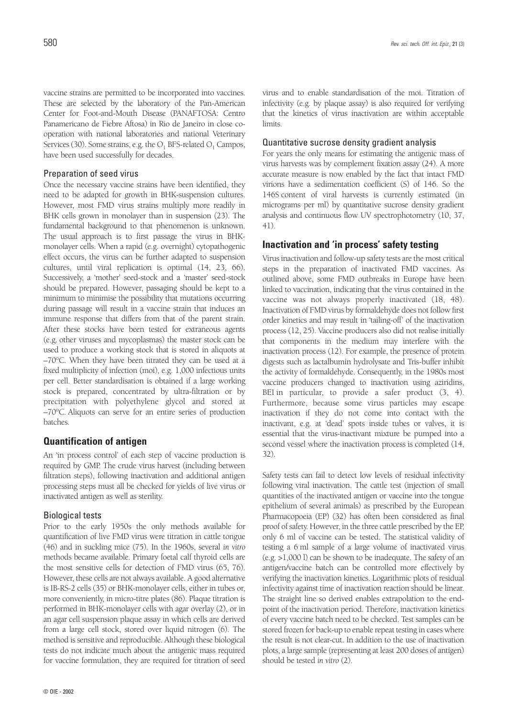vaccine strains are permitted to be incorporated into vaccines. These are selected by the laboratory of the Pan-American Center for Foot-and-Mouth Disease (PANAFTOSA: Centro Panamericano de Fiebre Aftosa) in Rio de Janeiro in close cooperation with national laboratories and national Veterinary Services (30). Some strains, e.g. the  $O_1$  BFS-related  $O_1$  Campos, have been used successfully for decades.

#### Preparation of seed virus

Once the necessary vaccine strains have been identified, they need to be adapted for growth in BHK-suspension cultures. However, most FMD virus strains multiply more readily in BHK cells grown in monolayer than in suspension (23). The fundamental background to that phenomenon is unknown. The usual approach is to first passage the virus in BHKmonolayer cells. When a rapid (e.g. overnight) cytopathogenic effect occurs, the virus can be further adapted to suspension cultures, until viral replication is optimal (14, 23, 66). Successively, a 'mother' seed-stock and a 'master' seed-stock should be prepared. However, passaging should be kept to a minimum to minimise the possibility that mutations occurring during passage will result in a vaccine strain that induces an immune response that differs from that of the parent strain. After these stocks have been tested for extraneous agents (e.g. other viruses and mycoplasmas) the master stock can be used to produce a working stock that is stored in aliquots at –70°C. When they have been titrated they can be used at a fixed multiplicity of infection (moi), e.g. 1,000 infectious units per cell. Better standardisation is obtained if a large working stock is prepared, concentrated by ultra-filtration or by precipitation with polyethylene glycol and stored at –70°C. Aliquots can serve for an entire series of production batches.

### **Quantification of antigen**

An 'in process control' of each step of vaccine production is required by GMP. The crude virus harvest (including between filtration steps), following inactivation and additional antigen processing steps must all be checked for yields of live virus or inactivated antigen as well as sterility.

#### Biological tests

Prior to the early 1950s the only methods available for quantification of live FMD virus were titration in cattle tongue (46) and in suckling mice (75). In the 1960s, several *in vitro* methods became available. Primary foetal calf thyroid cells are the most sensitive cells for detection of FMD virus (65, 76). However, these cells are not always available. A good alternative is IB-RS-2 cells (35) or BHK-monolayer cells, either in tubes or, more conveniently, in micro-titre plates (86). Plaque titration is performed in BHK-monolayer cells with agar overlay (2), or in an agar cell suspension plaque assay in which cells are derived from a large cell stock, stored over liquid nitrogen (6). The method is sensitive and reproducible. Although these biological tests do not indicate much about the antigenic mass required for vaccine formulation, they are required for titration of seed

virus and to enable standardisation of the moi. Titration of infectivity (e.g. by plaque assay) is also required for verifying that the kinetics of virus inactivation are within acceptable limits.

#### Quantitative sucrose density gradient analysis

For years the only means for estimating the antigenic mass of virus harvests was by complement fixation assay (24). A more accurate measure is now enabled by the fact that intact FMD virions have a sedimentation coefficient (S) of 146. So the 146S content of viral harvests is currently estimated (in micrograms per ml) by quantitative sucrose density gradient analysis and continuous flow UV spectrophotometry (10, 37, 41).

### **Inactivation and 'in process' safety testing**

Virus inactivation and follow-up safety tests are the most critical steps in the preparation of inactivated FMD vaccines. As outlined above, some FMD outbreaks in Europe have been linked to vaccination, indicating that the virus contained in the vaccine was not always properly inactivated (18, 48). Inactivation of FMD virus by formaldehyde does not follow first order kinetics and may result in 'tailing-off' of the inactivation process (12, 25). Vaccine producers also did not realise initially that components in the medium may interfere with the inactivation process (12). For example, the presence of protein digests such as lactalbumin hydrolysate and Tris-buffer inhibit the activity of formaldehyde. Consequently, in the 1980s most vaccine producers changed to inactivation using aziridins, BEI in particular, to provide a safer product (3, 4). Furthermore, because some virus particles may escape inactivation if they do not come into contact with the inactivant, e.g. at 'dead' spots inside tubes or valves, it is essential that the virus-inactivant mixture be pumped into a second vessel where the inactivation process is completed (14, 32).

Safety tests can fail to detect low levels of residual infectivity following viral inactivation. The cattle test (injection of small quantities of the inactivated antigen or vaccine into the tongue epithelium of several animals) as prescribed by the European Pharmacopoeia (EP) (32) has often been considered as final proof of safety. However, in the three cattle prescribed by the EP, only 6 ml of vaccine can be tested. The statistical validity of testing a 6 ml sample of a large volume of inactivated virus (e.g. >1,000 l) can be shown to be inadequate. The safety of an antigen/vaccine batch can be controlled more effectively by verifying the inactivation kinetics. Logarithmic plots of residual infectivity against time of inactivation reaction should be linear. The straight line so derived enables extrapolation to the endpoint of the inactivation period. Therefore, inactivation kinetics of every vaccine batch need to be checked. Test samples can be stored frozen for back-up to enable repeat testing in cases where the result is not clear-cut. In addition to the use of inactivation plots, a large sample (representing at least 200 doses of antigen) should be tested *in vitro* (2).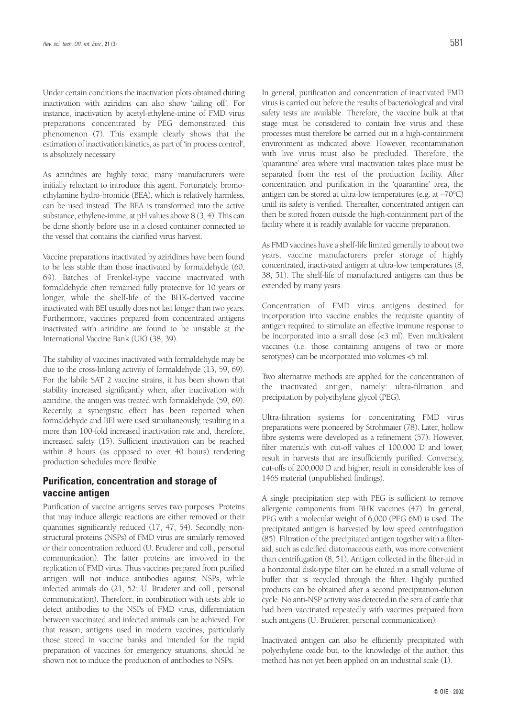Under certain conditions the inactivation plots obtained during inactivation with aziridins can also show 'tailing off'. For instance, inactivation by acetyl-ethylene-imine of FMD virus preparations concentrated by PEG demonstrated this phenomenon (7). This example clearly shows that the estimation of inactivation kinetics, as part of 'in process control', is absolutely necessary.

As aziridines are highly toxic, many manufacturers were initially reluctant to introduce this agent. Fortunately, bromoethylamine hydro-bromide (BEA), which is relatively harmless, can be used instead. The BEA is transformed into the active substance, ethylene-imine, at pH values above 8 (3, 4). This can be done shortly before use in a closed container connected to the vessel that contains the clarified virus harvest.

Vaccine preparations inactivated by aziridines have been found to be less stable than those inactivated by formaldehyde (60, 69). Batches of Frenkel-type vaccine inactivated with formaldehyde often remained fully protective for 10 years or longer, while the shelf-life of the BHK-derived vaccine inactivated with BEI usually does not last longer than two years. Furthermore, vaccines prepared from concentrated antigens inactivated with aziridine are found to be unstable at the International Vaccine Bank (UK) (38, 39).

The stability of vaccines inactivated with formaldehyde may be due to the cross-linking activity of formaldehyde (13, 59, 69). For the labile SAT 2 vaccine strains, it has been shown that stability increased significantly when, after inactivation with aziridine, the antigen was treated with formaldehyde (59, 69). Recently, a synergistic effect has been reported when formaldehyde and BEI were used simultaneously, resulting in a more than 100-fold increased inactivation rate and, therefore, increased safety (15). Sufficient inactivation can be reached within 8 hours (as opposed to over 40 hours) rendering production schedules more flexible.

### **Purification, concentration and storage of vaccine antigen**

Purification of vaccine antigens serves two purposes. Proteins that may induce allergic reactions are either removed or their quantities significantly reduced (17, 47, 54). Secondly, nonstructural proteins (NSPs) of FMD virus are similarly removed or their concentration reduced (U. Bruderer and coll., personal communication). The latter proteins are involved in the replication of FMD virus. Thus vaccines prepared from purified antigen will not induce antibodies against NSPs, while infected animals do (21, 52; U. Bruderer and coll., personal communication). Therefore, in combination with tests able to detect antibodies to the NSPs of FMD virus, differentiation between vaccinated and infected animals can be achieved. For that reason, antigens used in modern vaccines, particularly those stored in vaccine banks and intended for the rapid preparation of vaccines for emergency situations, should be shown not to induce the production of antibodies to NSPs.

In general, purification and concentration of inactivated FMD virus is carried out before the results of bacteriological and viral safety tests are available. Therefore, the vaccine bulk at that stage must be considered to contain live virus and these processes must therefore be carried out in a high-containment environment as indicated above. However, recontamination with live virus must also be precluded. Therefore, the 'quarantine' area where viral inactivation takes place must be separated from the rest of the production facility. After concentration and purification in the 'quarantine' area, the antigen can be stored at ultra-low temperatures (e.g. at –70°C) until its safety is verified. Thereafter, concentrated antigen can then be stored frozen outside the high-containment part of the facility where it is readily available for vaccine preparation.

As FMD vaccines have a shelf-life limited generally to about two years, vaccine manufacturers prefer storage of highly concentrated, inactivated antigen at ultra-low temperatures (8, 38, 51). The shelf-life of manufactured antigens can thus be extended by many years.

Concentration of FMD virus antigens destined for incorporation into vaccine enables the requisite quantity of antigen required to stimulate an effective immune response to be incorporated into a small dose (<3 ml). Even multivalent vaccines (i.e. those containing antigens of two or more serotypes) can be incorporated into volumes <5 ml.

Two alternative methods are applied for the concentration of the inactivated antigen, namely: ultra-filtration and precipitation by polyethylene glycol (PEG).

Ultra-filtration systems for concentrating FMD virus preparations were pioneered by Strohmaier (78). Later, hollow fibre systems were developed as a refinement (57). However, filter materials with cut-off values of 100,000 D and lower, result in harvests that are insufficiently purified. Conversely, cut-offs of 200,000 D and higher, result in considerable loss of 146S material (unpublished findings).

A single precipitation step with PEG is sufficient to remove allergenic components from BHK vaccines (47). In general, PEG with a molecular weight of 6,000 (PEG 6M) is used. The precipitated antigen is harvested by low speed centrifugation (85). Filtration of the precipitated antigen together with a filteraid, such as calcified diatomaceous earth, was more convenient than centrifugation (8, 51). Antigen collected in the filter-aid in a horizontal disk-type filter can be eluted in a small volume of buffer that is recycled through the filter. Highly purified products can be obtained after a second precipitation-elution cycle. No anti-NSP activity was detected in the sera of cattle that had been vaccinated repeatedly with vaccines prepared from such antigens (U. Bruderer, personal communication).

Inactivated antigen can also be efficiently precipitated with polyethylene oxide but, to the knowledge of the author, this method has not yet been applied on an industrial scale (1).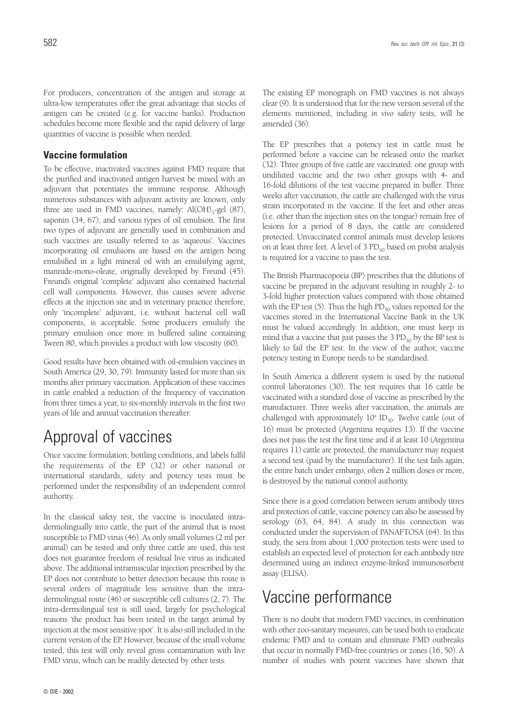For producers, concentration of the antigen and storage at ultra-low temperatures offer the great advantage that stocks of antigen can be created (e.g. for vaccine banks). Production schedules become more flexible and the rapid delivery of large quantities of vaccine is possible when needed.

### **Vaccine formulation**

To be effective, inactivated vaccines against FMD require that the purified and inactivated antigen harvest be mixed with an adjuvant that potentiates the immune response. Although numerous substances with adjuvant activity are known, only three are used in FMD vaccines, namely:  $Al(OH)_{3}$ -gel (87), saponin (34, 67), and various types of oil emulsion. The first two types of adjuvant are generally used in combination and such vaccines are usually referred to as 'aqueous'. Vaccines incorporating oil emulsions are based on the antigen being emulsified in a light mineral oil with an emulsifying agent, mannide-mono-oleate, originally developed by Freund (45). Freund's original 'complete' adjuvant also contained bacterial cell wall components. However, this causes severe adverse effects at the injection site and in veterinary practice therefore, only 'incomplete' adjuvant, i.e. without bacterial cell wall components, is acceptable. Some producers emulsify the primary emulsion once more in buffered saline containing Tween 80, which provides a product with low viscosity (60).

Good results have been obtained with oil-emulsion vaccines in South America (29, 30, 79). Immunity lasted for more than six months after primary vaccination. Application of these vaccines in cattle enabled a reduction of the frequency of vaccination from three times a year, to six-monthly intervals in the first two years of life and annual vaccination thereafter.

## Approval of vaccines

Once vaccine formulation, bottling conditions, and labels fulfil the requirements of the EP (32) or other national or international standards, safety and potency tests must be performed under the responsibility of an independent control authority.

In the classical safety test, the vaccine is inoculated intradermolingually into cattle, the part of the animal that is most susceptible to FMD virus (46). As only small volumes (2 ml per animal) can be tested and only three cattle are used, this test does not guarantee freedom of residual live virus as indicated above. The additional intramuscular injection prescribed by the EP does not contribute to better detection because this route is several orders of magnitude less sensitive than the intradermolingual route (46) or susceptible cell cultures (2, 7). The intra-dermolingual test is still used, largely for psychological reasons 'the product has been tested in the target animal by injection at the most sensitive spot'. It is also still included in the current version of the EP. However, because of the small volume tested, this test will only reveal gross contamination with live FMD virus, which can be readily detected by other tests.

The EP prescribes that a potency test in cattle must be performed before a vaccine can be released onto the market (32). Three groups of five cattle are vaccinated: one group with undiluted vaccine and the two other groups with 4- and 16-fold dilutions of the test vaccine prepared in buffer. Three weeks after vaccination, the cattle are challenged with the virus strain incorporated in the vaccine. If the feet and other areas (i.e. other than the injection sites on the tongue) remain free of lesions for a period of 8 days, the cattle are considered protected. Unvaccinated control animals must develop lesions on at least three feet. A level of  $3 PD_{50}$  based on probit analysis is required for a vaccine to pass the test.

The British Pharmacopoeia (BP) prescribes that the dilutions of vaccine be prepared in the adjuvant resulting in roughly 2- to 3-fold higher protection values compared with those obtained with the EP test  $(5)$ . Thus the high  $PD_{50}$  values reported for the vaccines stored in the International Vaccine Bank in the UK must be valued accordingly. In addition, one must keep in mind that a vaccine that just passes the 3  $PD_{50}$  by the BP test is likely to fail the EP test. In the view of the author, vaccine potency testing in Europe needs to be standardised.

In South America a different system is used by the national control laboratories (30). The test requires that 16 cattle be vaccinated with a standard dose of vaccine as prescribed by the manufacturer. Three weeks after vaccination, the animals are challenged with approximately  $10^4$  ID<sub>50</sub>. Twelve cattle (out of 16) must be protected (Argentina requires 13). If the vaccine does not pass the test the first time and if at least 10 (Argentina requires 11) cattle are protected, the manufacturer may request a second test (paid by the manufacturer). If the test fails again, the entire batch under embargo, often 2 million doses or more, is destroyed by the national control authority.

Since there is a good correlation between serum antibody titres and protection of cattle, vaccine potency can also be assessed by serology (63, 64, 84). A study in this connection was conducted under the supervision of PANAFTOSA (64). In this study, the sera from about 1,000 protection tests were used to establish an expected level of protection for each antibody titre determined using an indirect enzyme-linked immunosorbent assay (ELISA).

## Vaccine performance

There is no doubt that modern FMD vaccines, in combination with other zoo-sanitary measures, can be used both to eradicate endemic FMD and to contain and eliminate FMD outbreaks that occur in normally FMD-free countries or zones (16, 50). A number of studies with potent vaccines have shown that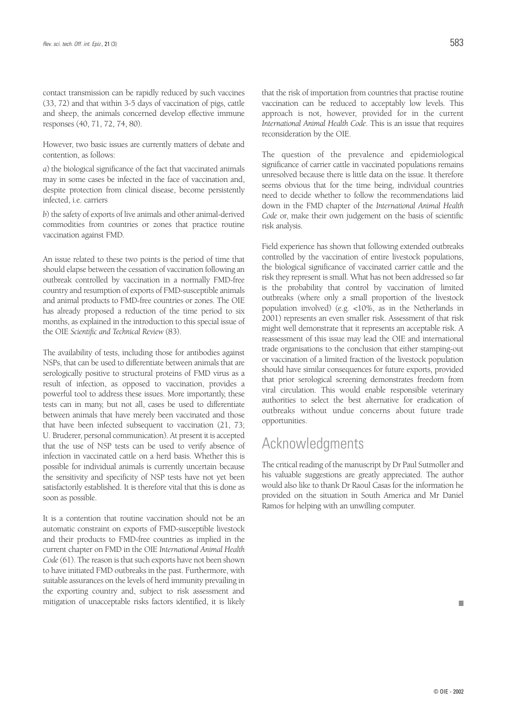contact transmission can be rapidly reduced by such vaccines (33, 72) and that within 3-5 days of vaccination of pigs, cattle and sheep, the animals concerned develop effective immune responses (40, 71, 72, 74, 80).

However, two basic issues are currently matters of debate and contention, as follows:

*a*) the biological significance of the fact that vaccinated animals may in some cases be infected in the face of vaccination and, despite protection from clinical disease, become persistently infected, i.e. carriers

*b*) the safety of exports of live animals and other animal-derived commodities from countries or zones that practice routine vaccination against FMD.

An issue related to these two points is the period of time that should elapse between the cessation of vaccination following an outbreak controlled by vaccination in a normally FMD-free country and resumption of exports of FMD-susceptible animals and animal products to FMD-free countries or zones. The OIE has already proposed a reduction of the time period to six months, as explained in the introduction to this special issue of the OIE *Scientific and Technical Review* (83).

The availability of tests, including those for antibodies against NSPs, that can be used to differentiate between animals that are serologically positive to structural proteins of FMD virus as a result of infection, as opposed to vaccination, provides a powerful tool to address these issues. More importantly, these tests can in many, but not all, cases be used to differentiate between animals that have merely been vaccinated and those that have been infected subsequent to vaccination (21, 73; U. Bruderer, personal communication). At present it is accepted that the use of NSP tests can be used to verify absence of infection in vaccinated cattle on a herd basis. Whether this is possible for individual animals is currently uncertain because the sensitivity and specificity of NSP tests have not yet been satisfactorily established. It is therefore vital that this is done as soon as possible.

It is a contention that routine vaccination should not be an automatic constraint on exports of FMD-susceptible livestock and their products to FMD-free countries as implied in the current chapter on FMD in the OIE *International Animal Health Code*(61). The reason is that such exports have not been shown to have initiated FMD outbreaks in the past. Furthermore, with suitable assurances on the levels of herd immunity prevailing in the exporting country and, subject to risk assessment and mitigation of unacceptable risks factors identified, it is likely **and all the set of the set of the set of the set of the set of the set of the set of the set of the set of the set of the set of the set of the set of the** 

that the risk of importation from countries that practise routine vaccination can be reduced to acceptably low levels. This approach is not, however, provided for in the current *International Animal Health Code*. This is an issue that requires reconsideration by the OIE.

The question of the prevalence and epidemiological significance of carrier cattle in vaccinated populations remains unresolved because there is little data on the issue. It therefore seems obvious that for the time being, individual countries need to decide whether to follow the recommendations laid down in the FMD chapter of the *International Animal Health Code* or, make their own judgement on the basis of scientific risk analysis.

Field experience has shown that following extended outbreaks controlled by the vaccination of entire livestock populations, the biological significance of vaccinated carrier cattle and the risk they represent is small. What has not been addressed so far is the probability that control by vaccination of limited outbreaks (where only a small proportion of the livestock population involved) (e.g. <10%, as in the Netherlands in 2001) represents an even smaller risk. Assessment of that risk might well demonstrate that it represents an acceptable risk. A reassessment of this issue may lead the OIE and international trade organisations to the conclusion that either stamping-out or vaccination of a limited fraction of the livestock population should have similar consequences for future exports, provided that prior serological screening demonstrates freedom from viral circulation. This would enable responsible veterinary authorities to select the best alternative for eradication of outbreaks without undue concerns about future trade opportunities.

## Acknowledgments

The critical reading of the manuscript by Dr Paul Sutmoller and his valuable suggestions are greatly appreciated. The author would also like to thank Dr Raoul Casas for the information he provided on the situation in South America and Mr Daniel Ramos for helping with an unwilling computer.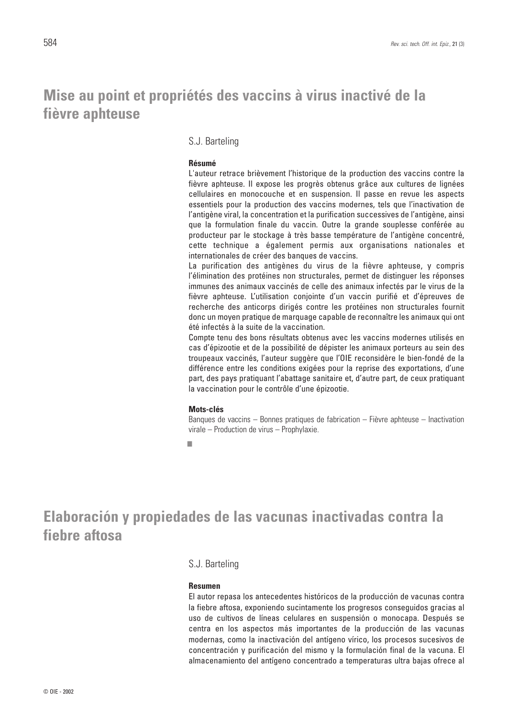## **Mise au point et propriétés des vaccins à virus inactivé de la fièvre aphteuse**

### S.J. Barteling

#### **Résumé**

L'auteur retrace brièvement l'historique de la production des vaccins contre la fièvre aphteuse. Il expose les progrès obtenus grâce aux cultures de lignées cellulaires en monocouche et en suspension. Il passe en revue les aspects essentiels pour la production des vaccins modernes, tels que l'inactivation de l'antigène viral, la concentration et la purification successives de l'antigène, ainsi que la formulation finale du vaccin. Outre la grande souplesse conférée au producteur par le stockage à très basse température de l'antigène concentré, cette technique a également permis aux organisations nationales et internationales de créer des banques de vaccins.

La purification des antigènes du virus de la fièvre aphteuse, y compris l'élimination des protéines non structurales, permet de distinguer les réponses immunes des animaux vaccinés de celle des animaux infectés par le virus de la fièvre aphteuse. L'utilisation conjointe d'un vaccin purifié et d'épreuves de recherche des anticorps dirigés contre les protéines non structurales fournit donc un moyen pratique de marquage capable de reconnaître les animaux qui ont été infectés à la suite de la vaccination.

Compte tenu des bons résultats obtenus avec les vaccins modernes utilisés en cas d'épizootie et de la possibilité de dépister les animaux porteurs au sein des troupeaux vaccinés, l'auteur suggère que l'OIE reconsidère le bien-fondé de la différence entre les conditions exigées pour la reprise des exportations, d'une part, des pays pratiquant l'abattage sanitaire et, d'autre part, de ceux pratiquant la vaccination pour le contrôle d'une épizootie.

#### **Mots-clés**

Banques de vaccins – Bonnes pratiques de fabrication – Fièvre aphteuse – Inactivation virale – Production de virus – Prophylaxie.

■

## **Elaboración y propiedades de las vacunas inactivadas contra la fiebre aftosa**

#### S.J. Barteling

#### **Resumen**

El autor repasa los antecedentes históricos de la producción de vacunas contra la fiebre aftosa, exponiendo sucintamente los progresos conseguidos gracias al uso de cultivos de líneas celulares en suspensión o monocapa. Después se centra en los aspectos más importantes de la producción de las vacunas modernas, como la inactivación del antígeno vírico, los procesos sucesivos de concentración y purificación del mismo y la formulación final de la vacuna. El almacenamiento del antígeno concentrado a temperaturas ultra bajas ofrece al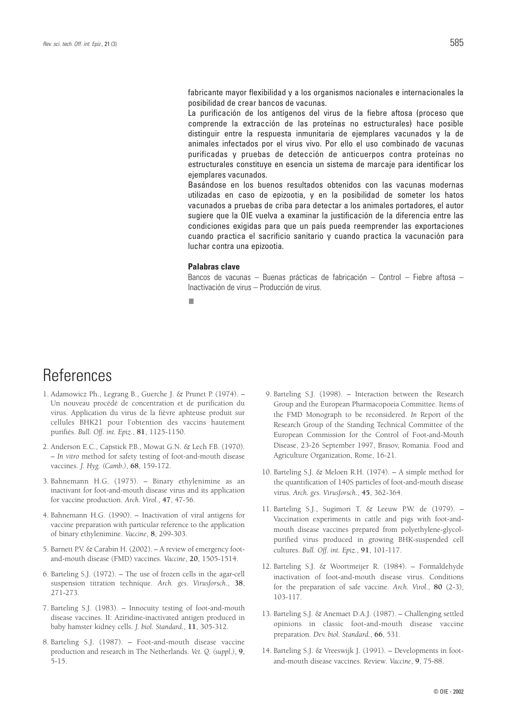fabricante mayor flexibilidad y a los organismos nacionales e internacionales la posibilidad de crear bancos de vacunas.

La purificación de los antígenos del virus de la fiebre aftosa (proceso que comprende la extracción de las proteínas no estructurales) hace posible distinguir entre la respuesta inmunitaria de ejemplares vacunados y la de animales infectados por el virus vivo. Por ello el uso combinado de vacunas purificadas y pruebas de detección de anticuerpos contra proteínas no estructurales constituye en esencia un sistema de marcaje para identificar los ejemplares vacunados.

Basándose en los buenos resultados obtenidos con las vacunas modernas utilizadas en caso de epizootia, y en la posibilidad de someter los hatos vacunados a pruebas de criba para detectar a los animales portadores, el autor sugiere que la OIE vuelva a examinar la justificación de la diferencia entre las condiciones exigidas para que un país pueda reemprender las exportaciones cuando practica el sacrificio sanitario y cuando practica la vacunación para luchar contra una epizootia.

#### **Palabras clave**

Bancos de vacunas – Buenas prácticas de fabricación – Control – Fiebre aftosa – Inactivación de virus – Producción de virus.

■

## **References**

- 1. Adamowicz Ph., Legrang B., Guerche J. & Prunet P. (1974). Un nouveau procédé de concentration et de purification du virus. Application du virus de la fièvre aphteuse produit sur cellules BHK21 pour l'obtention des vaccins hautement purifiés. *Bull. Off. int. Epiz.*, **81**, 1125-1150.
- 2. Anderson E.C., Capstick P.B., Mowat G.N. & Lech F.B. (1970). – *In vitro* method for safety testing of foot-and-mouth disease vaccines. *J. Hyg. (Camb.)*, **68**, 159-172.
- 3. Bahnemann H.G. (1975). Binary ethylenimine as an inactivant for foot-and-mouth disease virus and its application for vaccine production. *Arch. Virol.*, **47**, 47-56.
- 4. Bahnemann H.G. (1990). Inactivation of viral antigens for vaccine preparation with particular reference to the application of binary ethylenimine. *Vaccine*, **8**, 299-303.
- 5. Barnett P.V. & Carabin H. (2002). A review of emergency footand-mouth disease (FMD) vaccines. *Vaccine*, **20**, 1505-1514.
- 6. Barteling S.J. (1972). The use of frozen cells in the agar-cell suspension titration technique. *Arch. ges. Virusforsch.*, **38**, 271-273.
- 7. Barteling S.J. (1983). Innocuity testing of foot-and-mouth disease vaccines. II: Aziridine-inactivated antigen produced in baby hamster kidney cells. *J. biol. Standard.*, **11**, 305-312.
- 8. Barteling S.J. (1987). Foot-and-mouth disease vaccine production and research in The Netherlands. *Vet. Q. (suppl.)*, **9**, 5-15.
- 9. Barteling S.J. (1998). Interaction between the Research Group and the European Pharmacopoeia Committee. Items of the FMD Monograph to be reconsidered. *In* Report of the Research Group of the Standing Technical Committee of the European Commission for the Control of Foot-and-Mouth Disease, 23-26 September 1997, Brasov, Romania. Food and Agriculture Organization, Rome, 16-21.
- 10. Barteling S.J. & Meloen R.H. (1974). A simple method for the quantification of 140S particles of foot-and-mouth disease virus. *Arch. ges. Virusforsch.*, **45**, 362-364.
- 11. Barteling S.J., Sugimori T. & Leeuw P.W. de (1979). Vaccination experiments in cattle and pigs with foot-andmouth disease vaccines prepared from polyethylene-glycolpurified virus produced in growing BHK-suspended cell cultures. *Bull. Off. int. Epiz.*, **91**, 101-117.
- 12. Barteling S.J. & Woortmeijer R. (1984). Formaldehyde inactivation of foot-and-mouth disease virus. Conditions for the preparation of safe vaccine. *Arch. Virol.*, **80** (2-3), 103-117.
- 13. Barteling S.J. & Anemaet D.A.J. (1987). Challenging settled opinions in classic foot-and-mouth disease vaccine preparation. *Dev. biol. Standard.*, **66**, 531.
- 14. Barteling S.J. & Vreeswijk J. (1991). Developments in footand-mouth disease vaccines. Review*. Vaccine*, **9**, 75-88.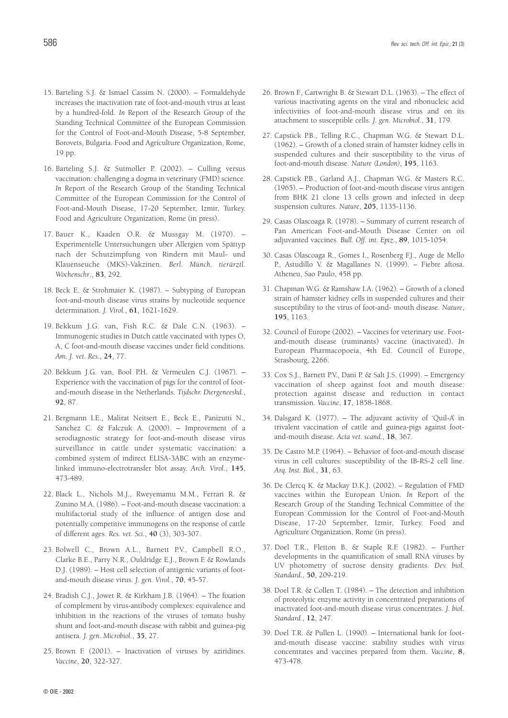- 15. Barteling S.J. & Ismael Cassim N. (2000). Formaldehyde increases the inactivation rate of foot-and-mouth virus at least by a hundred-fold. *In* Report of the Research Group of the Standing Technical Committee of the European Commission for the Control of Foot-and-Mouth Disease, 5-8 September, Borovets, Bulgaria. Food and Agriculture Organization, Rome, 19 pp.
- 16. Barteling S.J. & Sutmoller P. (2002). Culling versus vaccination: challenging a dogma in veterinary (FMD) science. *In* Report of the Research Group of the Standing Technical Committee of the European Commission for the Control of Foot-and-Mouth Disease, 17-20 September, Izmir, Turkey. Food and Agriculture Organization, Rome (in press).
- 17. Bauer K., Kaaden O.R. & Mussgay M. (1970). Experimentelle Untersuchungen uber Allergien vom Spättyp nach der Schutzimpfung von Rindern mit Maul- und Klauenseuche (MKS)-Vakzinen. *Berl. Münch. tierärztl. Wochenschr*., **83**, 292.
- 18. Beck E. & Strohmaier K. (1987). Subtyping of European foot-and-mouth disease virus strains by nucleotide sequence determination. *J. Virol.*, **61**, 1621-1629.
- 19. Bekkum J.G. van, Fish R.C. & Dale C.N. (1963). Immunogenic studies in Dutch cattle vaccinated with types O, A, C foot-and-mouth disease vaccines under field conditions. *Am. J. vet. Res.*, **24**, 77.
- 20. Bekkum J.G. van, Bool P.H. & Vermeulen C.J. (1967). Experience with the vaccination of pigs for the control of footand-mouth disease in the Netherlands. *Tijdschr. Diergeneeskd.*, **92**, 87.
- 21. Bergmann I.E., Malirat Neitsert E., Beck E., Panizutti N., Sanchez C. & Falczuk A. (2000). – Improvement of a serodiagnostic strategy for foot-and-mouth disease virus surveillance in cattle under systematic vaccination: a combined system of indirect ELISA-3ABC with an enzymelinked immuno-electrotransfer blot assay. *Arch. Virol.*, **145**, 473-489.
- 22. Black L., Nichols M.J., Rweyemamu M.M., Ferrari R. & Zunino M.A. (1986). – Foot-and-mouth disease vaccination: a multifactorial study of the influence of antigen dose and potentially competitive immunogens on the response of cattle of different ages. *Res. vet. Sci.*, **40** (3), 303-307.
- 23. Bolwell C., Brown A.L., Barnett P.V., Campbell R.O., Clarke B.E., Parry N.R., Ouldridge E.J., Brown F. & Rowlands D.J. (1989). – Host cell selection of antigenic variants of footand-mouth disease virus. *J. gen. Virol.*, **70**, 45-57.
- 24. Bradish C.J., Jowet R. & Kirkham J.B. (1964). The fixation of complement by virus-antibody complexes: equivalence and inhibition in the reactions of the viruses of tomato bushy shunt and foot-and-mouth disease with rabbit and guinea-pig antisera. *J. gen. Microbiol.*, **35**, 27.
- 25. Brown F. (2001). Inactivation of viruses by aziridines. *Vaccine*, **20**, 322-327.
- 26. Brown F., Cartwright B. & Stewart D.L. (1963). The effect of various inactivating agents on the viral and ribonucleic acid infectivities of foot-and-mouth disease virus and on its attachment to susceptible cells. *J. gen. Microbiol.*, **31**, 179.
- 27. Capstick P.B., Telling R.C., Chapman W.G. & Stewart D.L. (1962). – Growth of a cloned strain of hamster kidney cells in suspended cultures and their susceptibility to the virus of foot-and-mouth disease. *Nature (London)*, **195**, 1163.
- 28. Capstick P.B., Garland A.J., Chapman W.G. & Masters R.C. (1965). – Production of foot-and-mouth disease virus antigen from BHK 21 clone 13 cells grown and infected in deep suspension cultures. *Nature*, **205**, 1135-1136.
- 29. Casas Olascoaga R. (1978). Summary of current research of Pan American Foot-and-Mouth Disease Center on oil adjuvanted vaccines. *Bull. Off. int. Epiz.*, **89**, 1015-1054.
- 30. Casas Olascoaga R., Gomes I., Rosenberg F.J., Auge de Mello P., Astudillo V. & Magallanes N. (1999). – Fiebre aftosa. Atheneu, Sao Paulo, 458 pp.
- 31. Chapman W.G. & Ramshaw I.A. (1962). Growth of a cloned strain of hamster kidney cells in suspended cultures and their susceptibility to the virus of foot-and- mouth disease. *Nature*, **195**, 1163.
- 32. Council of Europe (2002). Vaccines for veterinary use. Footand-mouth disease (ruminants) vaccine (inactivated). *In* European Pharmacopoeia, 4th Ed. Council of Europe, Strasbourg, 2266.
- 33. Cox S.J., Barnett P.V., Dani P. & Salt J.S. (1999). Emergency vaccination of sheep against foot and mouth disease: protection against disease and reduction in contact transmission. *Vaccine*, **17**, 1858-1868.
- 34. Dalsgard K. (1977). The adjuvant activity of 'Quil-A' in trivalent vaccination of cattle and guinea-pigs against footand-mouth disease. *Acta vet. scand.*, **18**, 367.
- 35. De Castro M.P. (1964). Behavior of foot-and-mouth disease virus in cell cultures: susceptibility of the IB-RS-2 cell line. *Arq. Inst. Biol.*, **31**, 63.
- 36. De Clercq K. & Mackay D.K.J. (2002). Regulation of FMD vaccines within the European Union. *In* Report of the Research Group of the Standing Technical Committee of the European Commission for the Control of Foot-and-Mouth Disease, 17-20 September, Izmir, Turkey. Food and Agriculture Organization, Rome (in press).
- 37. Doel T.R., Fletton B. & Staple R.F. (1982). Further developments in the quantification of small RNA viruses by UV photometry of sucrose density gradients. *Dev. biol. Standard.*, **50**, 209-219.
- 38. Doel T.R. & Collen T. (1984). The detection and inhibition of proteolytic enzyme activity in concentrated preparations of inactivated foot-and-mouth disease virus concentrates. *J. biol. Standard.*, **12**, 247.
- 39. Doel T.R. & Pullen L. (1990). International bank for footand-mouth disease vaccine: stability studies with virus concentrates and vaccines prepared from them. *Vaccine*, **8**, 473-478.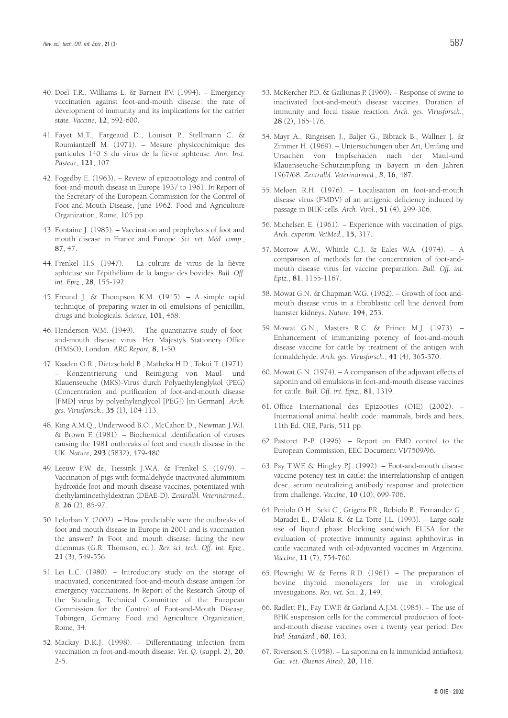- 40. Doel T.R., Williams L. & Barnett P.V. (1994). Emergency vaccination against foot-and-mouth disease: the rate of development of immunity and its implications for the carrier state. *Vaccine*, **12**, 592-600.
- 41. Fayet M.T., Fargeaud D., Louisot P., Stellmann C. & Roumiantzeff M. (1971). – Mesure physicochimique des particules 140 S du virus de la fièvre aphteuse. *Ann. Inst. Pasteur*, **121**, 107.
- 42. Fogedby E. (1963). Review of epizootiology and control of foot-and-mouth disease in Europe 1937 to 1961. *In* Report of the Secretary of the European Commission for the Control of Foot-and-Mouth Disease, June 1962. Food and Agriculture Organization, Rome, 105 pp.
- 43. Fontaine J. (1985). Vaccination and prophylaxis of foot and mouth disease in France and Europe. *Sci. vét. Méd. comp.*, **87**, 47.
- 44. Frenkel H.S. (1947). La culture de virus de la fièvre aphteuse sur l'épithélium de la langue des bovidés. *Bull. Off. int. Epiz.*, **28**, 155-192.
- 45. Freund J. & Thompson K.M. (1945). A simple rapid technique of preparing water-in-oil emulsions of penicillin, drugs and biologicals. *Science*, **101**, 468.
- 46. Henderson W.M. (1949). The quantitative study of footand-mouth disease virus. Her Majesty's Stationery Office (HMSO), London. *ARC Report,* **8**, 1-50.
- 47. Kaaden O.R., Dietzschold B., Matheka H.D., Tokui T. (1971). – Konzentrierung und Reinigung von Maul- und Klauenseuche (MKS)-Virus durch Polyaethylenglykol (PEG) (Concentration and purification of foot-and-mouth disease [FMD] virus by polyethylenglycol [PEG]) [in German]. *Arch. ges. Virusforsch.*, **35** (1), 104-113.
- 48. King A.M.Q., Underwood B.O., McCahon D., Newman J.W.I. & Brown F. (1981). – Biochemical identification of viruses causing the 1981 outbreaks of foot and mouth disease in the UK. *Nature*, **293** (5832), 479-480.
- 49. Leeuw P.W. de, Tiessink J.W.A. & Frenkel S. (1979). Vaccination of pigs with formaldehyde inactivated aluminium hydroxide foot-and-mouth disease vaccines, potentiated with diethylaminoethyldextran (DEAE-D). *Zentralbl. Veterinärmed.*, *B*, **26** (2), 85-97.
- 50. Leforban Y. (2002). How predictable were the outbreaks of foot and mouth disease in Europe in 2001 and is vaccination the answer? *In* Foot and mouth disease: facing the new dilemmas (G.R. Thomson, ed.). *Rev. sci. tech. Off. int. Epiz.*, **21** (3), 549-556.
- 51. Lei L.C. (1980). Introductory study on the storage of inactivated, concentrated foot-and-mouth disease antigen for emergency vaccinations. *In* Report of the Research Group of the Standing Technical Committee of the European Commission for the Control of Foot-and-Mouth Disease, Tübingen, Germany. Food and Agriculture Organization, Rome, 34.
- 52. Mackay D.K.J. (1998). Differentiating infection from vaccination in foot-and-mouth disease. *Vet. Q.* (suppl. 2), **20**, 2-5.
- 53. McKercher P.D. & Gailiunas P. (1969). Response of swine to inactivated foot-and-mouth disease vaccines. Duration of immunity and local tissue reaction. *Arch. ges. Virusforsch.*, **28** (2), 165-176.
- 54. Mayr A., Ringeisen J., Baljer G., Bibrack B., Wallner J. & Zimmer H. (1969). – Untersuchungen uber Art, Umfang und Ursachen von Impfschaden nach der Maul-und Klauenseuche-Schutzimpfung in Bayern in den Jahren 1967/68. *Zentralbl. Veterinärmed., B*, **16**, 487.
- 55. Meloen R.H. (1976). Localisation on foot-and-mouth disease virus (FMDV) of an antigenic deficiency induced by passage in BHK-cells. *Arch. Virol.*, **51** (4), 299-306.
- 56. Michelsen E. (1961). Experience with vaccination of pigs. *Arch. experim. VetMed.*, **15**, 317.
- 57. Morrow A.W., Whittle C.J. & Eales W.A. (1974). A comparison of methods for the concentration of foot-andmouth disease virus for vaccine preparation. *Bull. Off. int. Epiz.*, **81**, 1155-1167.
- 58. Mowat G.N. & Chapman W.G. (1962). Growth of foot-andmouth disease virus in a fibroblastic cell line derived from hamster kidneys. *Nature*, **194**, 253.
- 59. Mowat G.N., Masters R.C. & Prince M.J. (1973). Enhancement of immunizing potency of foot-and-mouth disease vaccine for cattle by treatment of the antigen with formaldehyde. *Arch. ges. Virusforsch.*, **41** (4), 365-370.
- 60. Mowat G.N. (1974). A comparison of the adjuvant effects of saponin and oil emulsions in foot-and-mouth disease vaccines for cattle. *Bull. Off. int. Epiz.*, **81**, 1319.
- 61. Office International des Epizooties (OIE) (2002). International animal health code: mammals, birds and bees, 11th Ed. OIE, Paris, 511 pp.
- 62. Pastoret P.-P. (1996). Report on FMD control to the European Commission, EEC Document VI/7509/96.
- 63. Pay T.W.F. & Hingley P.J. (1992). Foot-and-mouth disease vaccine potency test in cattle: the interrelationship of antigen dose, serum neutralizing antibody response and protection from challenge. *Vaccine*, **10** (10), 699-706.
- 64. Periolo O.H., Seki C., Grigera P.R., Robiolo B., Fernandez G., Maradei E., D'Aloia R. & La Torre J.L. (1993). – Large-scale use of liquid phase blocking sandwich ELISA for the evaluation of protective immunity against aphthovirus in cattle vaccinated with oil-adjuvanted vaccines in Argentina. *Vaccine*, **11** (7), 754-760.
- 65. Plowright W. & Ferris R.D. (1961). The preparation of bovine thyroid monolayers for use in virological investigations. *Res. vet. Sci.*, **2**, 149.
- 66. Radlett P.J., Pay T.W.F. & Garland A.J.M. (1985). The use of BHK suspension cells for the commercial production of footand-mouth disease vaccines over a twenty year period. *Dev. biol. Standard.*, **60**, 163.
- 67. Rivenson S. (1958). La saponina en la inmunidad antiaftosa. *Gac. vet. (Buenos Aires)*, **20**, 116.